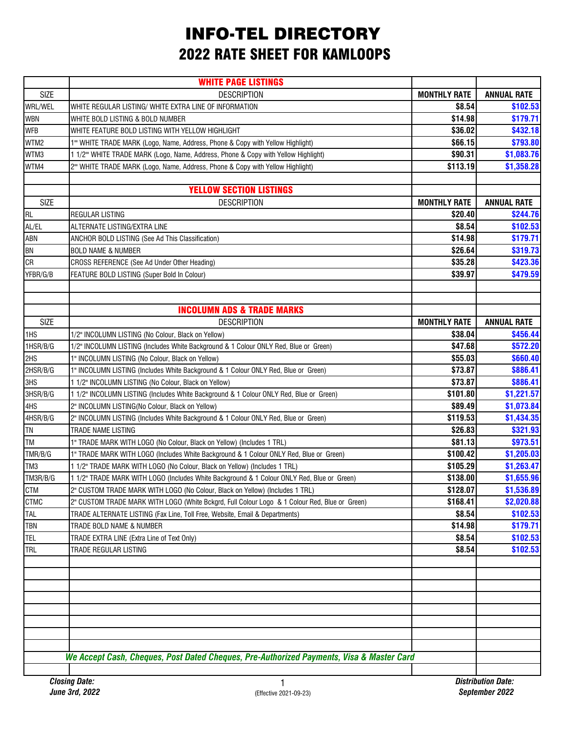## INFO-TEL DIRECTORY 2022 RATE SHEET FOR KAMLOOPS

|                 | <b>WHITE PAGE LISTINGS</b>                                                                    |                     |                    |
|-----------------|-----------------------------------------------------------------------------------------------|---------------------|--------------------|
| <b>SIZE</b>     | <b>DESCRIPTION</b>                                                                            | <b>MONTHLY RATE</b> | <b>ANNUAL RATE</b> |
| WRL/WEL         | WHITE REGULAR LISTING/ WHITE EXTRA LINE OF INFORMATION                                        | \$8.54              | \$102.53           |
| <b>WBN</b>      | WHITE BOLD LISTING & BOLD NUMBER                                                              | \$14.98             | \$179.71           |
| <b>WFB</b>      | WHITE FEATURE BOLD LISTING WITH YELLOW HIGHLIGHT                                              | \$36.02             | \$432.18           |
| WTM2            | 1" WHITE TRADE MARK (Logo, Name, Address, Phone & Copy with Yellow Highlight)                 | \$66.15             | \$793.80           |
| WTM3            | 1 1/2" WHITE TRADE MARK (Logo, Name, Address, Phone & Copy with Yellow Highlight)             | \$90.31             | \$1,083.76         |
| WTM4            | 2" WHITE TRADE MARK (Logo, Name, Address, Phone & Copy with Yellow Highlight)                 | \$113.19            | \$1,358.28         |
|                 |                                                                                               |                     |                    |
|                 | <b>YELLOW SECTION LISTINGS</b>                                                                |                     |                    |
| <b>SIZE</b>     | <b>DESCRIPTION</b>                                                                            | <b>MONTHLY RATE</b> | <b>ANNUAL RATE</b> |
| <b>RL</b>       | REGULAR LISTING                                                                               | \$20.40             | \$244.76           |
| AL/EL           | ALTERNATE LISTING/EXTRA LINE                                                                  | \$8.54              | \$102.53           |
| ABN             | ANCHOR BOLD LISTING (See Ad This Classification)                                              | \$14.98             | \$179.71           |
| BN              | <b>BOLD NAME &amp; NUMBER</b>                                                                 | \$26.64             | \$319.73           |
| <b>CR</b>       | CROSS REFERENCE (See Ad Under Other Heading)                                                  | \$35.28             | \$423.36           |
| YFBR/G/B        | FEATURE BOLD LISTING (Super Bold In Colour)                                                   | \$39.97             | \$479.59           |
|                 |                                                                                               |                     |                    |
|                 |                                                                                               |                     |                    |
|                 | <b>INCOLUMN ADS &amp; TRADE MARKS</b>                                                         |                     |                    |
| <b>SIZE</b>     | <b>DESCRIPTION</b>                                                                            | <b>MONTHLY RATE</b> | <b>ANNUAL RATE</b> |
| 1HS             | 1/2" INCOLUMN LISTING (No Colour, Black on Yellow)                                            | \$38.04             | \$456.44           |
| 1HSR/B/G        | 1/2" INCOLUMN LISTING (Includes White Background & 1 Colour ONLY Red, Blue or Green)          | \$47.68             | \$572.20           |
| 2HS             | 1" INCOLUMN LISTING (No Colour, Black on Yellow)                                              | \$55.03             | \$660.40           |
| 2HSR/B/G        | 1" INCOLUMN LISTING (Includes White Background & 1 Colour ONLY Red, Blue or Green)            | \$73.87             | \$886.41           |
| 3HS             | 1 1/2" INCOLUMN LISTING (No Colour, Black on Yellow)                                          | \$73.87             | \$886.41           |
| 3HSR/B/G        | 1 1/2" INCOLUMN LISTING (Includes White Background & 1 Colour ONLY Red, Blue or Green)        | \$101.80            | \$1,221.57         |
| 4HS             | 2" INCOLUMN LISTING(No Colour, Black on Yellow)                                               | \$89.49             | \$1,073.84         |
| 4HSR/B/G        | 2" INCOLUMN LISTING (Includes White Background & 1 Colour ONLY Red, Blue or Green)            | \$119.53            | \$1,434.35         |
| <b>TN</b>       | TRADE NAME LISTING                                                                            | \$26.83             | \$321.93           |
| <b>TM</b>       | 1" TRADE MARK WITH LOGO (No Colour, Black on Yellow) (Includes 1 TRL)                         | \$81.13             | \$973.51           |
| TMR/B/G         | 1" TRADE MARK WITH LOGO (Includes White Background & 1 Colour ONLY Red, Blue or Green)        | \$100.42            | \$1,205.03         |
| TM <sub>3</sub> | 1 1/2" TRADE MARK WITH LOGO (No Colour, Black on Yellow) (Includes 1 TRL)                     | \$105.29            | \$1,263.47         |
| TM3R/B/G        | 1 1/2" TRADE MARK WITH LOGO (Includes White Background & 1 Colour ONLY Red, Blue or Green)    | \$138.00            | \$1,655.96         |
| CTM             | 2" CUSTOM TRADE MARK WITH LOGO (No Colour, Black on Yellow) (Includes 1 TRL)                  | \$128.07            | \$1,536.89         |
| <b>CTMC</b>     | 2" CUSTOM TRADE MARK WITH LOGO (White Bckgrd, Full Colour Logo & 1 Colour Red, Blue or Green) | \$168.41            | \$2,020.88         |
| <b>TAL</b>      | TRADE ALTERNATE LISTING (Fax Line, Toll Free, Website, Email & Departments)                   | \$8.54              | \$102.53           |
| TBN             | TRADE BOLD NAME & NUMBER                                                                      | \$14.98             | \$179.71           |
| <b>TEL</b>      | TRADE EXTRA LINE (Extra Line of Text Only)                                                    | \$8.54              | \$102.53           |
| <b>TRL</b>      | TRADE REGULAR LISTING                                                                         | \$8.54              | \$102.53           |
|                 |                                                                                               |                     |                    |
|                 |                                                                                               |                     |                    |
|                 |                                                                                               |                     |                    |
|                 |                                                                                               |                     |                    |
|                 |                                                                                               |                     |                    |
|                 |                                                                                               |                     |                    |
|                 |                                                                                               |                     |                    |
|                 |                                                                                               |                     |                    |
|                 | We Accept Cash, Cheques, Post Dated Cheques, Pre-Authorized Payments, Visa & Master Card      |                     |                    |
|                 |                                                                                               |                     |                    |